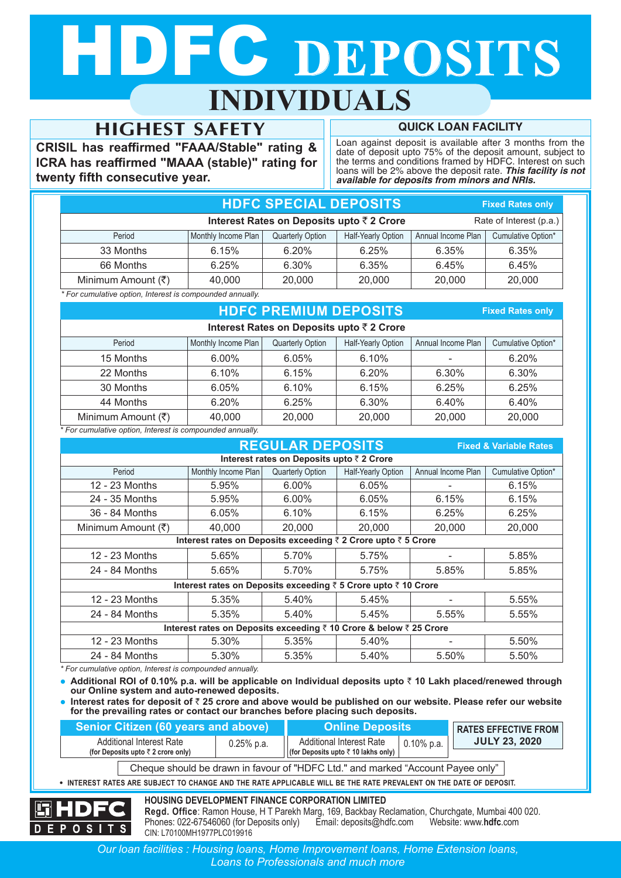# DEC DEPOSITS **INDIVIDUALS**

# **HIGHEST SAFETY**

**CRISIL has reaffirmed "FAAA/Stable" rating & ICRA has reaffirmed "MAAA (stable)" rating for twenty fifth consecutive year.**

**QUICK LOAN FACILITY**

Loan against deposit is available after 3 months from the date of deposit upto 75% of the deposit amount, subject to the terms and conditions framed by HDFC. Interest on such loans will be 2% above the deposit rate. *This facility is not available for deposits from minors and NRIs.*

**Fixed Rates only**

| <b>HDFC SPECIAL DEPOSITS</b><br><b>Fixed Rates only</b>             |                     |                  |                    |                    |                    |  |  |  |  |  |
|---------------------------------------------------------------------|---------------------|------------------|--------------------|--------------------|--------------------|--|--|--|--|--|
| Interest Rates on Deposits upto ₹2 Crore<br>Rate of Interest (p.a.) |                     |                  |                    |                    |                    |  |  |  |  |  |
| Period                                                              | Monthly Income Plan | Quarterly Option | Half-Yearly Option | Annual Income Plan | Cumulative Option* |  |  |  |  |  |
| 33 Months                                                           | 6.15%               | 6.20%            | 6.25%              | 6.35%              | 6.35%              |  |  |  |  |  |
| 66 Months                                                           | 6.25%               | 6.30%            | 6.35%              | 6.45%              | 6.45%              |  |  |  |  |  |
| Minimum Amount (₹)                                                  | 40,000              | 20,000           | 20,000             | 20,000             | 20,000             |  |  |  |  |  |

*\* For cumulative option, Interest is compounded annually.*

# **HDFC PREMIUM DEPOSITS Interest Rates on Deposits upto** ` **2 Crore**

15 Months | 6.00% | 6.05% | 6.10% | - | 6.20% 22 Months | 6.10% | 6.15% | 6.20% | 6.30% | 6.30% 30 Months 6.05% 6.10% 6.15% 6.25% 6.25% 44 Months | 6.20% | 6.25% | 6.30% | 6.40% | 6.40% Minimum Amount ( $\overline{z}$ )  $\overline{z}$  40,000 20,000 20,000 20,000 20,000 Period Monthly Income Plan Quarterly Option Half-Yearly Option Annual Income Plan Cumulative Option\*

*\* For cumulative option, Interest is compounded annually.*

| <b>REGULAR DEPOSITS</b><br><b>Fixed &amp; Variable Rates</b> |                                                                                                                  |                                           |        |        |        |  |  |  |  |
|--------------------------------------------------------------|------------------------------------------------------------------------------------------------------------------|-------------------------------------------|--------|--------|--------|--|--|--|--|
|                                                              |                                                                                                                  | Interest rates on Deposits upto ₹ 2 Crore |        |        |        |  |  |  |  |
| Period                                                       | Monthly Income Plan<br>Quarterly Option<br><b>Half-Yearly Option</b><br>Annual Income Plan<br>Cumulative Option* |                                           |        |        |        |  |  |  |  |
| 12 - 23 Months                                               | 5.95%                                                                                                            | $6.00\%$                                  | 6.05%  |        | 6.15%  |  |  |  |  |
| 24 - 35 Months                                               | 5.95%                                                                                                            | $6.00\%$                                  | 6.05%  | 6.15%  | 6.15%  |  |  |  |  |
| 36 - 84 Months                                               | 6.05%                                                                                                            | 6.10%                                     | 6.15%  | 6.25%  | 6.25%  |  |  |  |  |
| Minimum Amount (₹)                                           | 40.000                                                                                                           | 20,000                                    | 20,000 | 20,000 | 20,000 |  |  |  |  |
|                                                              | Interest rates on Deposits exceeding ₹ 2 Crore upto ₹ 5 Crore                                                    |                                           |        |        |        |  |  |  |  |
| 12 - 23 Months                                               | 5.65%                                                                                                            | 5.70%                                     | 5.75%  |        | 5.85%  |  |  |  |  |
| 24 - 84 Months                                               | 5.65%                                                                                                            | 5.70%                                     | 5.75%  | 5.85%  | 5.85%  |  |  |  |  |
|                                                              | Interest rates on Deposits exceeding ₹ 5 Crore upto ₹ 10 Crore                                                   |                                           |        |        |        |  |  |  |  |
| 12 - 23 Months                                               | 5.35%                                                                                                            | 5.40%                                     | 5.45%  |        | 5.55%  |  |  |  |  |
| 24 - 84 Months                                               | 5.35%                                                                                                            | 5.40%                                     | 5.45%  | 5.55%  | 5.55%  |  |  |  |  |
|                                                              | Interest rates on Deposits exceeding ₹ 10 Crore & below ₹ 25 Crore                                               |                                           |        |        |        |  |  |  |  |
| 12 - 23 Months                                               | 5.30%                                                                                                            | 5.35%                                     | 5.40%  |        | 5.50%  |  |  |  |  |
| 24 - 84 Months                                               | 5.30%                                                                                                            | 5.35%                                     | 5.40%  | 5.50%  | 5.50%  |  |  |  |  |

*\* For cumulative option, Interest is compounded annually.*

**DEPOSITS** 

• Additional ROI of 0.10% p.a. will be applicable on Individual deposits upto ₹ 10 Lakh placed/renewed through **our Online system and auto-renewed deposits.**

l **Interest rates for deposit of** ` **25 crore and above would be published on our website. Please refer our website for the prevailing rates or contact our branches before placing such deposits.**

| Senior Citizen (60 years and above) |                                                                                                                           |              | <b>Online Deposits</b><br><b>RATES EFFECTIVE FROM</b>                                                                                                       |               |                      |  |  |  |
|-------------------------------------|---------------------------------------------------------------------------------------------------------------------------|--------------|-------------------------------------------------------------------------------------------------------------------------------------------------------------|---------------|----------------------|--|--|--|
|                                     | <b>Additional Interest Rate</b><br>(for Deposits upto $\bar{z}$ 2 crore only)                                             | $0.25%$ p.a. | <b>Additional Interest Rate</b><br>(for Deposits upto ₹ 10 lakhs only)                                                                                      | $0.10\%$ p.a. | <b>JULY 23, 2020</b> |  |  |  |
|                                     | Cheque should be drawn in favour of "HDFC Ltd." and marked "Account Payee only"                                           |              |                                                                                                                                                             |               |                      |  |  |  |
|                                     | $\bullet$ INTEREST RATES ARE SUBJECT TO CHANGE AND THE RATE APPLICABLE WILL BE THE RATE PREVALENT ON THE DATE OF DEPOSIT. |              |                                                                                                                                                             |               |                      |  |  |  |
| <b>HDFC</b>                         |                                                                                                                           |              | <b>HOUSING DEVELOPMENT FINANCE CORPORATION LIMITED</b><br>Regd. Office: Ramon House, H T Parekh Marg, 169, Backbay Reclamation, Churchgate, Mumbai 400 020. |               |                      |  |  |  |

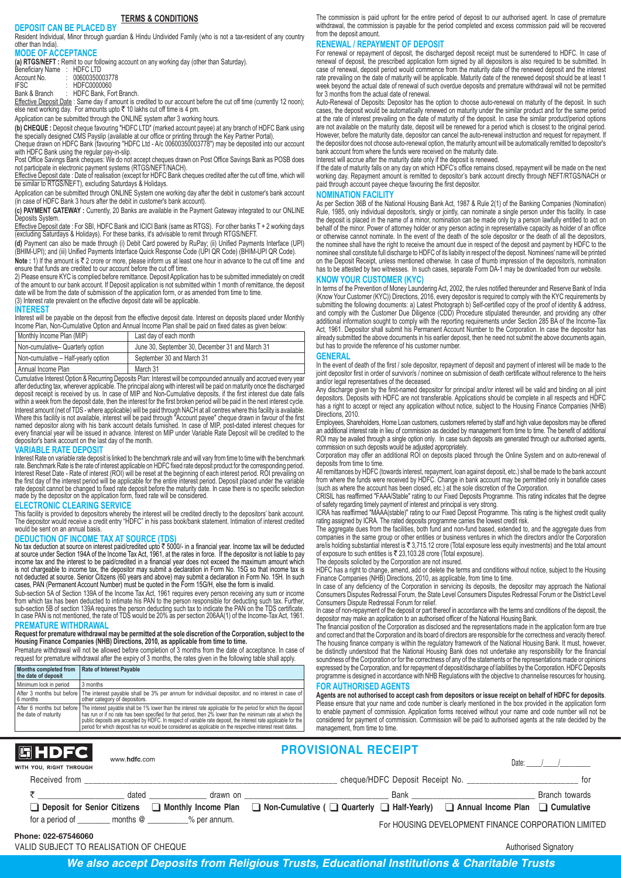# **TERMS & CONDITIONS**

**DEPOSIT CAN BE PLACED BY** Resident Individual, Minor through guardian & Hindu Undivided Family (who is not a tax-resident of any country other than India).

# **MODE OF ACCEPTANCE**

**(a) RTGS/NEFT :** Remit to our following account on any working day (other than Saturday).

| Beneficiary Name | <b>HDFCLTD</b> |
|------------------|----------------|
| Account No.      | 00600350003778 |
| IFSC             | HDFC0000060    |
| Rank & Rranch    | HDFC Rank Fort |

Bank & Branch \_\_\_:\_HDFC Bank, Fort Branch.<br><u>Effective Deposit Date</u> : Same day if amount is credited to our account before the cut off time (currently 12 noon);<br>else next working day. For amounts upto ₹ 10 lakhs cut off

Application can be submitted through the ONLINE system after 3 working hours.

**(b) CHEQUE :** Deposit cheque favouring "HDFC LTD" (marked account payee) at any branch of HDFC Bank using the specially designed CMS Payslip (available at our office or printing through the Key Partner Portal). Cheque drawn on HDFC Bank (favouring "HDFC Ltd - A/c 00600350003778") may be deposited into our account

with HDFC Bank using the regular pay-in-slip.

Post Office Savings Bank cheques: We do not accept cheques drawn on Post Office Savings Bank as POSB does not participate in electronic payment systems (RTGS/NEFT/NACH). Effective Deposit date : Date of realisation (except for HDFC Bank cheques credited after the cut off time, which will

be similar to RTGS/NEFT), excluding Saturdays & Holidays. Application can be submitted through ONLINE System one working day after the debit in customer's bank account

(in case of HDFC Bank 3 hours after the debit in customer's bank account).

**(c) PAYMENT GATEWAY :** Currently, 20 Banks are available in the Payment Gateway integrated to our ONLINE eposits System

E<del>ffective Deposit date</del> : For SBI, HDFC Bank and ICICI Bank (same as RTGS). For other banks T + 2 working days<br>(excluding Saturdays & Holidays). For these banks, it's advisable to remit through RTGS/NEFT.

**(d)** Payment can also be made through (i) Debit Card powered by RuPay; (ii) Unified Payments Interface (UPI) (BHIM-UPI); and (iii) Unified Payments Interface Quick Response Code (UPI QR Code) (BHIM-UPI QR Code).

**Note :** 1) If the amount is ₹ 2 crore or more, please inform us at least one hour in advance to the cut off time and ensure that funds are credited to our account before the cut off time.

2) Please ensure KYC is complied before remittance. Deposit Application has to be submitted immediately on credit of the amount to our bank account. If Deposit application is not submitted within 1 month of remittance, the deposit date will be from the date of submission of the application form, or as amended from time to time. (3) Interest rate prevalent on the effective deposit date will be applicable.

## **INTEREST**

Interest will be payable on the deposit from the effective deposit date. Interest on deposits placed under Monthly Income Plan, Non-Cumulative Option and Annual Income Plan shall be paid on fixed dates as given below:

| Monthly Income Plan (MIP)           | Last day of each month                          |
|-------------------------------------|-------------------------------------------------|
| Non-cumulative- Quarterly option    | June 30, September 30, December 31 and March 31 |
| Non-cumulative - Half-yearly option | September 30 and March 31                       |
| Annual Income Plan                  | March 31                                        |

Cumulative Interest Option & Recurring Deposits Plan: Interest will be compounded annually and accrued every year after deducting tax, wherever applicable. The principal along with interest will be paid on maturity once the discharged<br>deposit receipt is received by us. In case of MIP and Non-Cumulative deposits, if the first interest Interest amount (net of TDS - where applicable) will be paid through NACH at all centres where this facility is available.<br>Where this facility is not available, interest will be paid through "Account payee" cheque drawn in depositor's bank account on the last day of the month.

#### **VARIABLE RATE DEPOSIT**

Interest Rate on variable rate deposit is linked to the benchmark rate and will vary from time to time with the benchmark<br>rate. Benchmark Rate is the rate of interest applicable on HDFC fixed rate deposit product for the c Interest Reset Date - Rate of interest (ROI) will be reset at the beginning of each interest period. ROI prevailing on the first day of the interest period will be applicable for the entire interest period. Deposit placed under the variable<br>rate deposit cannot be changed to fixed rate deposit before the maturity date. In case there is no s made by the depositor on the application form, fixed rate will be considered.

## **ELECTRONIC CLEARING SERVICE**

This facility is provided to depositors whereby the interest will be credited directly to the depositors' bank account.<br>The depositor would receive a credit entry "HDFC" in his pass book/bank statement. Intimation of inter would be sent on an annual basis.

### **DEDUCTION OF INCOME TAX AT SOURCE (TDS)**

No tax deduction at source on interest paid/credited upto  $\bar{z}$  5000/- in a financial year. Income tax will be deducted at source under Section 194A of the Income Tax Act, 1961, at the rates in force. If the depositor is not liable to pay<br>income tax and the interest to be paid/credited in a financial year does not exceed the maximum amount is not chargeable to income tax, the depositor may submit a declaration in Form No. 15G so that income tax is not deducted at source. Senior Citizens (60 years and above) may submit a declaration in Form No. 15H. In such cases, PAN (Permanent Account Number) must be quoted in the Form 15G/H, else the form is invalid.

Sub-section 5A of Section 139A of the Income Tax Act, 1961 requires every person receiving any sum or income from which tax has been deducted to intimate his PAN to the person responsible for deducting such tax. Further, sub-section 5B of section 139A requires the person deducting such tax to indicate the PAN on the TDS certificate.<br>In case PAN is not mentioned, the rate of TDS would be 20% as per section 206AA(1) of the Income-Tax Act, 19

## **PREMATURE WITHDRAWAL**

# **Request for premature withdrawal may be permitted at the sole discretion of the Corporation, subject to the Housing Finance Companies (NHB) Directions, 2010, as applicable from time to time.**

Premature withdrawal will not be allowed before completion of 3 months from the date of acceptance. In case of request for premature withdrawal after the expiry of 3 months, the rates given in the following table shall apply.

| <b>Months completed from</b><br>the date of deposit | <b>Rate of Interest Payable</b>                                                                                                                                                                                                                                                                                                                                                                                                                                                        |
|-----------------------------------------------------|----------------------------------------------------------------------------------------------------------------------------------------------------------------------------------------------------------------------------------------------------------------------------------------------------------------------------------------------------------------------------------------------------------------------------------------------------------------------------------------|
| Minimum lock in period                              | 3 months                                                                                                                                                                                                                                                                                                                                                                                                                                                                               |
| 6 months                                            | After 3 months but before The interest payable shall be 3% per annum for individual depositor, and no interest in case of<br>other category of depositors.                                                                                                                                                                                                                                                                                                                             |
| I the date of maturity                              | After 6 months but before The interest payable shall be 1% lower than the interest rate applicable for the period for which the deposit<br>has run or if no rate has been specified for that period, then 2% lower than the minimum rate at which the<br>public deposits are accepted by HDFC. In respect of variable rate deposit, the interest rate applicable for the<br>period for which deposit has run would be considered as applicable on the respective interest reset dates. |

The commission is paid upfront for the entire period of deposit to our authorised agent. In case of premature withdrawal, the commission is payable for the period completed and excess commission paid will be recovered from the deposit amount.

# **RENEWAL / REPAYMENT OF DEPOSIT**

For renewal or repayment of deposit, the discharged deposit receipt must be surrendered to HDFC. In case of renewal of deposit, the prescribed application form signed by all depositors is also required to be submitted. In case of renewal, deposit period would commence from the maturity date of the renewed deposit and the interest rate prevailing on the date of maturity will be applicable. Maturity date of the renewed deposit should be at least 1 week beyond the actual date of renewal of such overdue deposits and premature withdrawal will not be permitted for 3 months from the actual date of renewal.

Auto-Renewal of Deposits: Depositor has the option to choose auto-renewal on maturity of the deposit. In such cases, the deposit would be automatically renewed on maturity under the similar product and for the same period at the rate of interest prevailing on the date of maturity of the deposit. In case the similar product/period options are not available on the maturity date, deposit will be renewed for a period which is closest to the original period. However, before the maturity date, depositor can cancel the auto-renewal instruction and request for repayment. If the depositor does not choose auto-renewal option, the maturity amount will be automatically remitted to depositor's bank account from where the funds were received on the maturity date

Interest will accrue after the maturity date only if the deposit is renewed. If the date of maturity falls on any day on which HDFC's office remains closed, repayment will be made on the next

working day. Repayment amount is remitted to depositor's bank account directly through NEFT/RTGS/NACH or paid through account payee cheque favouring the first depositor.

### **NOMINATION FACILITY**

As per Section 36B of the National Housing Bank Act, 1987 & Rule 2(1) of the Banking Companies (Nomination) Rule, 1985, only individual depositor/s, singly or jointly, can nominate a single person under this facility. In case the deposit is placed in the name of a minor, nomination can be made only by a person lawfully entitled to act on behalf of the minor. Power of attorney holder or any person acting in representative capacity as holder of an office or otherwise cannot nominate. In the event of the death of the sole depositor or the death of all the depositors, the nominee shall have the right to receive the amount due in respect of the deposit and payment by HDFC to the nominee shall constitute full discharge to HDFC of its liabilty in respect of the deposit. Nominees' name will be printed<br>on the Deposit Receipt, unless mentioned otherwise. In case of thumb impression of the depositor/s, has to be attested by two witnesses. In such cases, separate Form DA-1 may be downloaded from our website.

# **KNOW YOUR CUSTOMER (KYC)**

In terms of the Prevention of Money Laundering Act, 2002, the rules notified thereunder and Reserve Bank of India (Know Your Customer (KYC)) Directions, 2016, every depositor is required to comply with the KYC requirements by submitting the following documents: a) Latest Photograph b) Self-certified copy of the proof of identity & address, and comply with the Customer Due Diligence (CDD) Procedure stipulated thereunder, and providing any other additional information sought to comply with the reporting requirements under Section 285 BA of the Income-Tax Act, 1961. Depositor shall submit his Permanent Account Number to the Corporation. In case the depositor has already submitted the above documents in his earlier deposit, then he need not submit the above documents again but has to provide the reference of his customer number.

#### **GENERAL**

In the event of death of the first / sole depositor, repayment of deposit and payment of interest will be made to the joint depositor first in order of survivor/s / nominee on submission of death certificate without reference to the heirs and/or legal representatives of the deceased.

Any discharge given by the first-named depositor for principal and/or interest will be valid and binding on all joint depositors. Deposits with HDFC are not transferable. Applications should be complete in all respects and HDFC has a right to accept or reject any application without notice, subject to the Housing Finance Companies (NHB) Directions, 2010.

Employees, Shareholders, Home Loan customers, customers referred by staff and high value depositors may be offered an additional interest rate in lieu of commission as decided by management from time to time. The benefit of additional ROI may be availed through a single option only. In case such deposits are generated through our authorised agents, commission on such deposits would be adjusted appropriately.

Corporation may offer an additional ROI on deposits placed through the Online System and on auto-renewal of deposits from time to time.

All remittances by HDFC (towards interest, repayment, loan against deposit, etc.) shall be made to the bank account from where the funds were received by HDFC. Change in bank account may be permitted only in bonafide cases (such as where the account has been closed, etc.) at the sole discretion of the Corporation.

CRISIL has reaffirmed "FAAA/Stable" rating to our Fixed Deposits Programme. This rating indicates that the degree of safety regarding timely payment of interest and principal is very strong.

ICRA has reaffirmed "MAAA(stable)" rating to our Fixed Deposit Programme. This rating is the highest credit quality rating assigned by ICRA. The rated deposits programme carries the lowest credit risk.

The aggregate dues from the facilities, both fund and non-fund based, extended to, and the aggregate dues from companies in the same group or other entities or business ventures in which the directors and/or the Corporation are/is holding substantial interest is ₹ 3,715.12 crore (Total exposure less equity investments) and the total amount of exposure to such entities is ` 23,103.28 crore (Total exposure). The deposits solicited by the Corporation are not insured.

HDFC has a right to change, amend, add or delete the terms and conditions without notice, subject to the Housing Finance Companies (NHB) Directions, 2010, as applicable, from time to time.

In case of any deficiency of the Corporation in servicing its deposits, the depositor may approach the National Consumers Disputes Redressal Forum, the State Level Consumers Disputes Redressal Forum or the District Level Consumers Dispute Redressal Forum for relief.

In case of non-repayment of the deposit or part thereof in accordance with the terms and conditions of the deposit, the depositor may make an application to an authorised officer of the National Housing Bank.

The financial position of the Corporation as disclosed and the representations made in the application form are true and correct and that the Corporation and its board of directors are responsible for the correctness and veracity thereof. The housing finance company is within the regulatory framework of the National Housing Bank. It must, however, be distinctly understood that the National Housing Bank does not undertake any responsibility for the financial soundness of the Corporation or for the correctness of any of the statements or the representations made or opinions expressed by the Corporation, and for repayment of deposit/discharge of liabilities by the Corporation. HDFC Deposits programme is designed in accordance with NHB Regulations with the objective to channelise resources for housing.

#### **FOR AUTHORISED AGENTS**

**Agents are not authorised to accept cash from depositors or issue receipt on behalf of HDFC for deposits**. Please ensure that your name and code number is clearly mentioned in the box provided in the application form to enable payment of commission. Application forms received without your name and code number will not be considered for payment of commission. Commission will be paid to authorised agents at the rate decided by the management, from time to time.

| <b> 圖HDFC </b><br>WITH YOU, RIGHT THROUGH | www.hdfc.com |                                       | <b>PROVISIONAL RECEIPT</b>                                                                            |                                 | Date:                                               |                |
|-------------------------------------------|--------------|---------------------------------------|-------------------------------------------------------------------------------------------------------|---------------------------------|-----------------------------------------------------|----------------|
| Received from                             |              |                                       |                                                                                                       | cheque/HDFC Deposit Receipt No. |                                                     | tor            |
| □ Deposit for Senior Citizens             | dated        | drawn on                              | ■ Monthly Income Plan ■ Non-Cumulative ( ■ Quarterly ■ Half-Yearly) ■ Annual Income Plan ■ Cumulative | Bank                            |                                                     | Branch towards |
| Phone: 022-67546060                       |              | for a period of months @ % per annum. |                                                                                                       |                                 | For HOUSING DEVELOPMENT FINANCE CORPORATION LIMITED |                |

VALID SUBJECT TO REALISATION OF CHEQUE AUTHORISED AUTHORISED AUTHORISED AUTHORISED AUThorised Signatory

*We also accept Deposits from Religious Trusts, Educational Institutions & Charitable Trusts*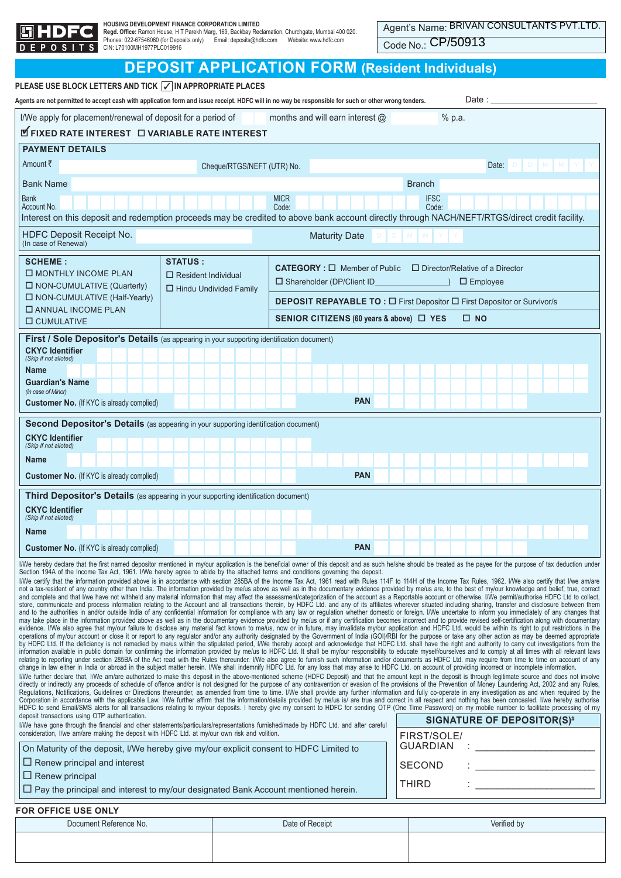|         | GHD |     |      |  |
|---------|-----|-----|------|--|
| n F P I |     | s i | - 11 |  |

**Regd. Office**: Ramon House, H T Parekh Marg, 169, Backbay Reclamation, Churchgate, Mumbai 400 020.<br>Phones: 022-67546060 (for Deposits only) Email: deposits@hdfc.com Website: www.hdfc.com<br>CIN: L70100MH1977PLC019916

Code No.: CP/50913

# **DEPOSIT APPLICATION FORM (Resident Individuals)**

| PLEASE USE BLOCK LETTERS AND TICK √ IN APPROPRIATE PLACES<br>Agents are not permitted to accept cash with application form and issue receipt. HDFC will in no way be responsible for such or other wrong tenders.                                                                                                                                                                                                                          |                            |                               |                                           |                      |            |  |                                                                                 |             | Date :                                 |             |                  |                                   |  |
|--------------------------------------------------------------------------------------------------------------------------------------------------------------------------------------------------------------------------------------------------------------------------------------------------------------------------------------------------------------------------------------------------------------------------------------------|----------------------------|-------------------------------|-------------------------------------------|----------------------|------------|--|---------------------------------------------------------------------------------|-------------|----------------------------------------|-------------|------------------|-----------------------------------|--|
| I/We apply for placement/renewal of deposit for a period of                                                                                                                                                                                                                                                                                                                                                                                |                            |                               | months and will earn interest $@$         |                      |            |  |                                                                                 | % p.a.      |                                        |             |                  |                                   |  |
| <b>LE FIXED RATE INTEREST LE VARIABLE RATE INTEREST</b>                                                                                                                                                                                                                                                                                                                                                                                    |                            |                               |                                           |                      |            |  |                                                                                 |             |                                        |             |                  |                                   |  |
| <b>PAYMENT DETAILS</b>                                                                                                                                                                                                                                                                                                                                                                                                                     |                            |                               |                                           |                      |            |  |                                                                                 |             |                                        |             |                  |                                   |  |
| Amount ₹                                                                                                                                                                                                                                                                                                                                                                                                                                   |                            | Cheque/RTGS/NEFT (UTR) No.    |                                           |                      |            |  |                                                                                 |             |                                        | Date:       | $\Box$<br>$\Box$ | M<br>M                            |  |
| <b>Bank Name</b>                                                                                                                                                                                                                                                                                                                                                                                                                           |                            |                               |                                           |                      |            |  | <b>Branch</b>                                                                   |             |                                        |             |                  |                                   |  |
| <b>Bank</b>                                                                                                                                                                                                                                                                                                                                                                                                                                |                            |                               | <b>MICR</b>                               |                      |            |  |                                                                                 | <b>IFSC</b> |                                        |             |                  |                                   |  |
| Account No.<br>Interest on this deposit and redemption proceeds may be credited to above bank account directly through NACH/NEFT/RTGS/direct credit facility.                                                                                                                                                                                                                                                                              |                            |                               | Code:                                     |                      |            |  |                                                                                 | Code:       |                                        |             |                  |                                   |  |
| HDFC Deposit Receipt No.                                                                                                                                                                                                                                                                                                                                                                                                                   |                            |                               |                                           | <b>Maturity Date</b> |            |  |                                                                                 |             |                                        |             |                  |                                   |  |
| (In case of Renewal)                                                                                                                                                                                                                                                                                                                                                                                                                       |                            |                               |                                           |                      |            |  |                                                                                 |             |                                        |             |                  |                                   |  |
| <b>SCHEME:</b><br>□ MONTHLY INCOME PLAN                                                                                                                                                                                                                                                                                                                                                                                                    | <b>STATUS:</b>             |                               | <b>CATEGORY</b> : $\Box$ Member of Public |                      |            |  |                                                                                 |             | $\Box$ Director/Relative of a Director |             |                  |                                   |  |
| □ NON-CUMULATIVE (Quarterly)                                                                                                                                                                                                                                                                                                                                                                                                               | $\Box$ Resident Individual | $\Box$ Hindu Undivided Family | □ Shareholder (DP/Client ID               |                      |            |  |                                                                                 |             | $\Box$ Employee                        |             |                  |                                   |  |
| □ NON-CUMULATIVE (Half-Yearly)                                                                                                                                                                                                                                                                                                                                                                                                             |                            |                               |                                           |                      |            |  | <b>DEPOSIT REPAYABLE TO : □ First Depositor □ First Depositor or Survivor/s</b> |             |                                        |             |                  |                                   |  |
| <b>O ANNUAL INCOME PLAN</b><br>□ CUMULATIVE                                                                                                                                                                                                                                                                                                                                                                                                |                            |                               |                                           |                      |            |  | SENIOR CITIZENS (60 years & above) □ YES                                        |             | $\square$ NO                           |             |                  |                                   |  |
| First / Sole Depositor's Details (as appearing in your supporting identification document)                                                                                                                                                                                                                                                                                                                                                 |                            |                               |                                           |                      |            |  |                                                                                 |             |                                        |             |                  |                                   |  |
| <b>CKYC Identifier</b><br>(Skip if not alloted)                                                                                                                                                                                                                                                                                                                                                                                            |                            |                               |                                           |                      |            |  |                                                                                 |             |                                        |             |                  |                                   |  |
| <b>Name</b>                                                                                                                                                                                                                                                                                                                                                                                                                                |                            |                               |                                           |                      |            |  |                                                                                 |             |                                        |             |                  |                                   |  |
| <b>Guardian's Name</b><br>(in case of Minor)                                                                                                                                                                                                                                                                                                                                                                                               |                            |                               |                                           |                      |            |  |                                                                                 |             |                                        |             |                  |                                   |  |
| <b>Customer No.</b> (If KYC is already complied)                                                                                                                                                                                                                                                                                                                                                                                           |                            |                               |                                           |                      | <b>PAN</b> |  |                                                                                 |             |                                        |             |                  |                                   |  |
| <b>Second Depositor's Details</b> (as appearing in your supporting identification document)                                                                                                                                                                                                                                                                                                                                                |                            |                               |                                           |                      |            |  |                                                                                 |             |                                        |             |                  |                                   |  |
| <b>CKYC</b> Identifier<br>(Skip if not alloted)                                                                                                                                                                                                                                                                                                                                                                                            |                            |                               |                                           |                      |            |  |                                                                                 |             |                                        |             |                  |                                   |  |
| <b>Name</b>                                                                                                                                                                                                                                                                                                                                                                                                                                |                            |                               |                                           |                      |            |  |                                                                                 |             |                                        |             |                  |                                   |  |
| <b>Customer No.</b> (If KYC is already complied)                                                                                                                                                                                                                                                                                                                                                                                           |                            |                               |                                           |                      | <b>PAN</b> |  |                                                                                 |             |                                        |             |                  |                                   |  |
| <b>Third Depositor's Details</b> (as appearing in your supporting identification document)                                                                                                                                                                                                                                                                                                                                                 |                            |                               |                                           |                      |            |  |                                                                                 |             |                                        |             |                  |                                   |  |
| <b>CKYC Identifier</b><br>(Skip if not alloted)                                                                                                                                                                                                                                                                                                                                                                                            |                            |                               |                                           |                      |            |  |                                                                                 |             |                                        |             |                  |                                   |  |
| <b>Name</b>                                                                                                                                                                                                                                                                                                                                                                                                                                |                            |                               |                                           |                      |            |  |                                                                                 |             |                                        |             |                  |                                   |  |
| <b>Customer No.</b> (If KYC is already complied)                                                                                                                                                                                                                                                                                                                                                                                           |                            |                               |                                           |                      | <b>PAN</b> |  |                                                                                 |             |                                        |             |                  |                                   |  |
| I/We hereby declare that the first named depositor mentioned in my/our application is the beneficial owner of this deposit and as such he/she should be treated as the payee for the purpose of tax deduction under                                                                                                                                                                                                                        |                            |                               |                                           |                      |            |  |                                                                                 |             |                                        |             |                  |                                   |  |
| Section 194A of the Income Tax Act, 1961. I/We hereby agree to abide by the attached terms and conditions governing the deposit.<br>I/We certify that the information provided above is in accordance with section 285BA of the Income Tax Act, 1961 read with Rules 114F to 114H of the Income Tax Rules, 1962. I/We also certify that I/we am/are                                                                                        |                            |                               |                                           |                      |            |  |                                                                                 |             |                                        |             |                  |                                   |  |
| not a tax-resident of any country other than India. The information provided by me/us above as well as in the documentary evidence provided by me/us are, to the best of my/our knowledge and belief, true, correct<br>and complete and that I/we have not withheld any material information that may affect the assessment/categorization of the account as a Reportable account or otherwise. I/We permit/authorise HDFC Ltd to collect, |                            |                               |                                           |                      |            |  |                                                                                 |             |                                        |             |                  |                                   |  |
| store, communicate and process information relating to the Account and all transactions therein, by HDFC Ltd. and any of its affiliates wherever situated including sharing, transfer and disclosure between them<br>and to the authorities in and/or outside India of any confidential information for compliance with any law or regulation whether domestic or foreign. I/We undertake to inform you immediately of any changes that    |                            |                               |                                           |                      |            |  |                                                                                 |             |                                        |             |                  |                                   |  |
| may take place in the information provided above as well as in the documentary evidence provided by me/us or if any certification becomes incorrect and to provide revised self-certification along with documentary<br>evidence. I/We also agree that my/our failure to disclose any material fact known to me/us, now or in future, may invalidate my/our application and HDFC Ltd. would be within its right to put restrictions in the |                            |                               |                                           |                      |            |  |                                                                                 |             |                                        |             |                  |                                   |  |
| operations of my/our account or close it or report to any regulator and/or any authority designated by the Government of India (GOI)/RBI for the purpose or take any other action as may be deemed appropriate<br>by HDFC Ltd. If the deficiency is not remedied by me/us within the stipulated period, I/We thereby accept and acknowledge that HDFC Ltd. shall have the right and authority to carry out investigations from the         |                            |                               |                                           |                      |            |  |                                                                                 |             |                                        |             |                  |                                   |  |
| information available in public domain for confirming the information provided by me/us to HDFC Ltd. It shall be my/our responsibility to educate myself/ourselves and to comply at all times with all relevant laws<br>relating to reporting under section 285BA of the Act read with the Rules thereunder. I/We also agree to furnish such information and/or documents as HDFC Ltd. may require from time to time on account of any     |                            |                               |                                           |                      |            |  |                                                                                 |             |                                        |             |                  |                                   |  |
| change in law either in India or abroad in the subject matter herein. I/We shall indemnify HDFC Ltd. for any loss that may arise to HDFC Ltd. on account of providing incorrect or incomplete information.<br>I/We further declare that, I/We am/are authorized to make this deposit in the above-mentioned scheme (HDFC Deposit) and that the amount kept in the deposit is through legitimate source and does not involve                |                            |                               |                                           |                      |            |  |                                                                                 |             |                                        |             |                  |                                   |  |
| directly or indirectly any proceeds of schedule of offence and/or is not designed for the purpose of any contravention or evasion of the provisions of the Prevention of Money Laundering Act, 2002 and any Rules,<br>Regulations, Notifications, Guidelines or Directions thereunder, as amended from time to time. I/We shall provide any further information and fully co-operate in any investigation as and when required by the      |                            |                               |                                           |                      |            |  |                                                                                 |             |                                        |             |                  |                                   |  |
| Corporation in accordance with the applicable Law. I/We further affirm that the information/details provided by me/us is/ are true and correct in all respect and nothing has been concealed. I/we hereby authorise<br>HDFC to send Email/SMS alerts for all transactions relating to my/our deposits. I hereby give my consent to HDFC for sending OTP (One Time Password) on my mobile number to facilitate processing of my             |                            |                               |                                           |                      |            |  |                                                                                 |             |                                        |             |                  |                                   |  |
| deposit transactions using OTP authentication.                                                                                                                                                                                                                                                                                                                                                                                             |                            |                               |                                           |                      |            |  |                                                                                 |             |                                        |             |                  | <b>SIGNATURE OF DEPOSITOR(S)#</b> |  |
| I/We have gone through the financial and other statements/particulars/representations furnished/made by HDFC Ltd. and after careful<br>consideration, I/we am/are making the deposit with HDFC Ltd. at my/our own risk and volition.                                                                                                                                                                                                       |                            |                               |                                           |                      |            |  | FIRST/SOLE/                                                                     |             |                                        |             |                  |                                   |  |
| On Maturity of the deposit, I/We hereby give my/our explicit consent to HDFC Limited to                                                                                                                                                                                                                                                                                                                                                    |                            |                               |                                           |                      |            |  | <b>GUARDIAN</b>                                                                 |             |                                        |             |                  |                                   |  |
| $\Box$ Renew principal and interest                                                                                                                                                                                                                                                                                                                                                                                                        |                            |                               |                                           |                      |            |  | <b>SECOND</b>                                                                   |             |                                        |             |                  |                                   |  |
| $\Box$ Renew principal<br>$\Box$ Pay the principal and interest to my/our designated Bank Account mentioned herein.                                                                                                                                                                                                                                                                                                                        |                            |                               |                                           |                      |            |  | <b>THIRD</b>                                                                    |             |                                        |             |                  |                                   |  |
|                                                                                                                                                                                                                                                                                                                                                                                                                                            |                            |                               |                                           |                      |            |  |                                                                                 |             |                                        |             |                  |                                   |  |
| <b>FOR OFFICE USE ONLY</b><br>Document Reference No.                                                                                                                                                                                                                                                                                                                                                                                       |                            |                               | Date of Receipt                           |                      |            |  |                                                                                 |             |                                        | Verified by |                  |                                   |  |
|                                                                                                                                                                                                                                                                                                                                                                                                                                            |                            |                               |                                           |                      |            |  |                                                                                 |             |                                        |             |                  |                                   |  |